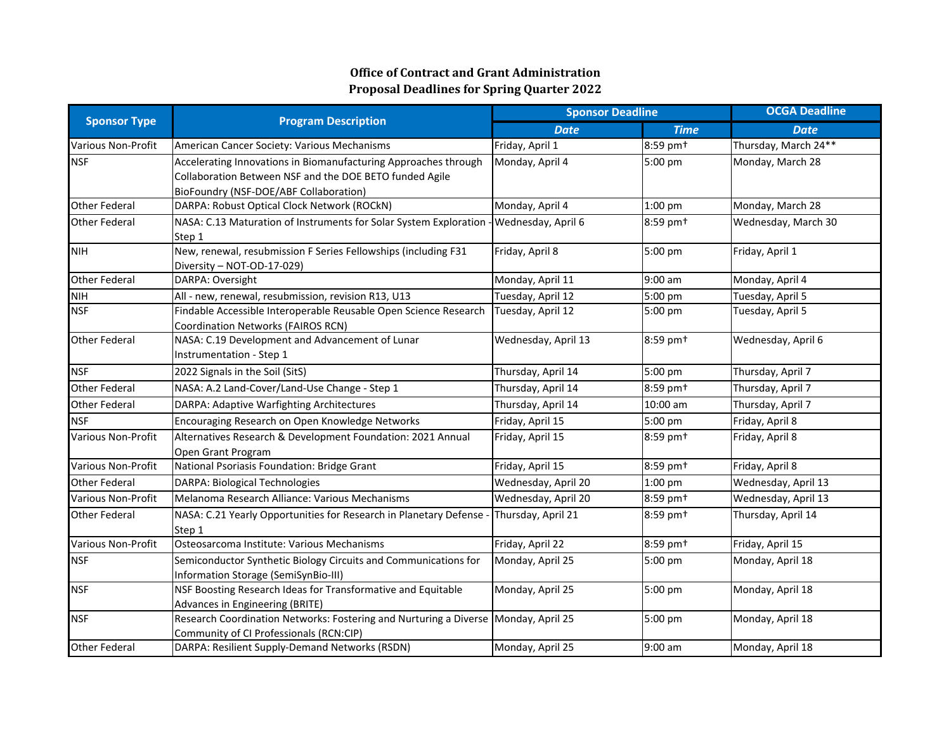| <b>Sponsor Type</b>       | <b>Program Description</b>                                                                                                                                           | <b>Sponsor Deadline</b> |                      | <b>OCGA Deadline</b> |  |
|---------------------------|----------------------------------------------------------------------------------------------------------------------------------------------------------------------|-------------------------|----------------------|----------------------|--|
|                           |                                                                                                                                                                      | <b>Date</b>             | <b>Time</b>          | <b>Date</b>          |  |
| <b>Various Non-Profit</b> | American Cancer Society: Various Mechanisms                                                                                                                          | Friday, April 1         | 8:59 pm <sup>+</sup> | Thursday, March 24** |  |
| <b>NSF</b>                | Accelerating Innovations in Biomanufacturing Approaches through<br>Collaboration Between NSF and the DOE BETO funded Agile<br>BioFoundry (NSF-DOE/ABF Collaboration) | Monday, April 4         | 5:00 pm              | Monday, March 28     |  |
| <b>Other Federal</b>      | DARPA: Robust Optical Clock Network (ROCkN)                                                                                                                          | Monday, April 4         | 1:00 pm              | Monday, March 28     |  |
| <b>Other Federal</b>      | NASA: C.13 Maturation of Instruments for Solar System Exploration<br>Step 1                                                                                          | - Wednesday, April 6    | 8:59 pm <sup>+</sup> | Wednesday, March 30  |  |
| <b>NIH</b>                | New, renewal, resubmission F Series Fellowships (including F31<br>Diversity - NOT-OD-17-029)                                                                         | Friday, April 8         | 5:00 pm              | Friday, April 1      |  |
| <b>Other Federal</b>      | DARPA: Oversight                                                                                                                                                     | Monday, April 11        | $9:00$ am            | Monday, April 4      |  |
| <b>NIH</b>                | All - new, renewal, resubmission, revision R13, U13                                                                                                                  | Tuesday, April 12       | 5:00 pm              | Tuesday, April 5     |  |
| <b>NSF</b>                | Findable Accessible Interoperable Reusable Open Science Research<br>Coordination Networks (FAIROS RCN)                                                               | Tuesday, April 12       | 5:00 pm              | Tuesday, April 5     |  |
| <b>Other Federal</b>      | NASA: C.19 Development and Advancement of Lunar<br>Instrumentation - Step 1                                                                                          | Wednesday, April 13     | 8:59 pm <sup>+</sup> | Wednesday, April 6   |  |
| <b>NSF</b>                | 2022 Signals in the Soil (SitS)                                                                                                                                      | Thursday, April 14      | 5:00 pm              | Thursday, April 7    |  |
| <b>Other Federal</b>      | NASA: A.2 Land-Cover/Land-Use Change - Step 1                                                                                                                        | Thursday, April 14      | 8:59 pm <sup>+</sup> | Thursday, April 7    |  |
| <b>Other Federal</b>      | DARPA: Adaptive Warfighting Architectures                                                                                                                            | Thursday, April 14      | 10:00 am             | Thursday, April 7    |  |
| <b>NSF</b>                | Encouraging Research on Open Knowledge Networks                                                                                                                      | Friday, April 15        | 5:00 pm              | Friday, April 8      |  |
| <b>Various Non-Profit</b> | Alternatives Research & Development Foundation: 2021 Annual<br>Open Grant Program                                                                                    | Friday, April 15        | 8:59 pm <sup>+</sup> | Friday, April 8      |  |
| <b>Various Non-Profit</b> | National Psoriasis Foundation: Bridge Grant                                                                                                                          | Friday, April 15        | 8:59 pm <sup>+</sup> | Friday, April 8      |  |
| <b>Other Federal</b>      | <b>DARPA: Biological Technologies</b>                                                                                                                                | Wednesday, April 20     | 1:00 pm              | Wednesday, April 13  |  |
| Various Non-Profit        | Melanoma Research Alliance: Various Mechanisms                                                                                                                       | Wednesday, April 20     | 8:59 pm <sup>+</sup> | Wednesday, April 13  |  |
| <b>Other Federal</b>      | NASA: C.21 Yearly Opportunities for Research in Planetary Defense<br>Step 1                                                                                          | Thursday, April 21      | 8:59 pm <sup>+</sup> | Thursday, April 14   |  |
| Various Non-Profit        | Osteosarcoma Institute: Various Mechanisms                                                                                                                           | Friday, April 22        | 8:59 pm <sup>+</sup> | Friday, April 15     |  |
| <b>NSF</b>                | Semiconductor Synthetic Biology Circuits and Communications for<br>Information Storage (SemiSynBio-III)                                                              | Monday, April 25        | 5:00 pm              | Monday, April 18     |  |
| <b>NSF</b>                | NSF Boosting Research Ideas for Transformative and Equitable<br>Advances in Engineering (BRITE)                                                                      | Monday, April 25        | 5:00 pm              | Monday, April 18     |  |
| <b>NSF</b>                | Research Coordination Networks: Fostering and Nurturing a Diverse Monday, April 25<br>Community of CI Professionals (RCN:CIP)                                        |                         | 5:00 pm              | Monday, April 18     |  |
| <b>Other Federal</b>      | DARPA: Resilient Supply-Demand Networks (RSDN)                                                                                                                       | Monday, April 25        | 9:00 am              | Monday, April 18     |  |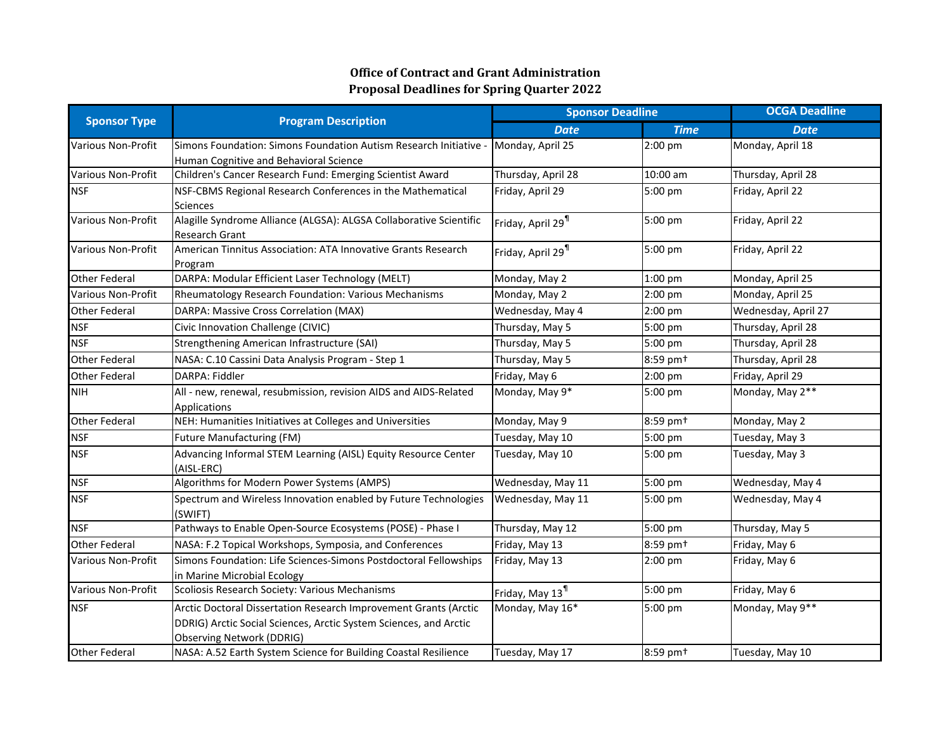| <b>Sponsor Type</b>       | <b>Program Description</b>                                         | <b>Sponsor Deadline</b>       |                      | <b>OCGA Deadline</b> |  |
|---------------------------|--------------------------------------------------------------------|-------------------------------|----------------------|----------------------|--|
|                           |                                                                    | <b>Date</b>                   | <b>Time</b>          | <b>Date</b>          |  |
| <b>Various Non-Profit</b> | Simons Foundation: Simons Foundation Autism Research Initiative    | Monday, April 25              | 2:00 pm              | Monday, April 18     |  |
|                           | Human Cognitive and Behavioral Science                             |                               |                      |                      |  |
| Various Non-Profit        | Children's Cancer Research Fund: Emerging Scientist Award          | Thursday, April 28            | 10:00 am             | Thursday, April 28   |  |
| <b>NSF</b>                | NSF-CBMS Regional Research Conferences in the Mathematical         | Friday, April 29              | 5:00 pm              | Friday, April 22     |  |
|                           | <b>Sciences</b>                                                    |                               |                      |                      |  |
| <b>Various Non-Profit</b> | Alagille Syndrome Alliance (ALGSA): ALGSA Collaborative Scientific | Friday, April 29 <sup>1</sup> | 5:00 pm              | Friday, April 22     |  |
|                           | <b>Research Grant</b>                                              |                               |                      |                      |  |
| <b>Various Non-Profit</b> | American Tinnitus Association: ATA Innovative Grants Research      | Friday, April 29 <sup>1</sup> | 5:00 pm              | Friday, April 22     |  |
|                           | Program                                                            |                               |                      |                      |  |
| <b>Other Federal</b>      | DARPA: Modular Efficient Laser Technology (MELT)                   | Monday, May 2                 | 1:00 pm              | Monday, April 25     |  |
| <b>Various Non-Profit</b> | Rheumatology Research Foundation: Various Mechanisms               | Monday, May 2                 | 2:00 pm              | Monday, April 25     |  |
| <b>Other Federal</b>      | DARPA: Massive Cross Correlation (MAX)                             | Wednesday, May 4              | 2:00 pm              | Wednesday, April 27  |  |
| <b>NSF</b>                | Civic Innovation Challenge (CIVIC)                                 | Thursday, May 5               | 5:00 pm              | Thursday, April 28   |  |
| <b>NSF</b>                | Strengthening American Infrastructure (SAI)                        | Thursday, May 5               | 5:00 pm              | Thursday, April 28   |  |
| <b>Other Federal</b>      | NASA: C.10 Cassini Data Analysis Program - Step 1                  | Thursday, May 5               | 8:59 pm <sup>+</sup> | Thursday, April 28   |  |
| <b>Other Federal</b>      | DARPA: Fiddler                                                     | Friday, May 6                 | 2:00 pm              | Friday, April 29     |  |
| <b>NIH</b>                | All - new, renewal, resubmission, revision AIDS and AIDS-Related   | Monday, May 9*                | 5:00 pm              | Monday, May 2**      |  |
|                           | Applications                                                       |                               |                      |                      |  |
| <b>Other Federal</b>      | NEH: Humanities Initiatives at Colleges and Universities           | Monday, May 9                 | 8:59 pm <sup>+</sup> | Monday, May 2        |  |
| <b>NSF</b>                | <b>Future Manufacturing (FM)</b>                                   | Tuesday, May 10               | 5:00 pm              | Tuesday, May 3       |  |
| <b>NSF</b>                | Advancing Informal STEM Learning (AISL) Equity Resource Center     | Tuesday, May 10               | 5:00 pm              | Tuesday, May 3       |  |
|                           | (AISL-ERC)                                                         |                               |                      |                      |  |
| <b>NSF</b>                | Algorithms for Modern Power Systems (AMPS)                         | Wednesday, May 11             | 5:00 pm              | Wednesday, May 4     |  |
| <b>NSF</b>                | Spectrum and Wireless Innovation enabled by Future Technologies    | Wednesday, May 11             | 5:00 pm              | Wednesday, May 4     |  |
|                           | (SWIFT)                                                            |                               |                      |                      |  |
| <b>NSF</b>                | Pathways to Enable Open-Source Ecosystems (POSE) - Phase I         | Thursday, May 12              | 5:00 pm              | Thursday, May 5      |  |
| <b>Other Federal</b>      | NASA: F.2 Topical Workshops, Symposia, and Conferences             | Friday, May 13                | 8:59 pm <sup>+</sup> | Friday, May 6        |  |
| Various Non-Profit        | Simons Foundation: Life Sciences-Simons Postdoctoral Fellowships   | Friday, May 13                | 2:00 pm              | Friday, May 6        |  |
|                           | in Marine Microbial Ecology                                        |                               |                      |                      |  |
| Various Non-Profit        | Scoliosis Research Society: Various Mechanisms                     | Friday, May 13 <sup>1</sup>   | 5:00 pm              | Friday, May 6        |  |
| <b>NSF</b>                | Arctic Doctoral Dissertation Research Improvement Grants (Arctic   | Monday, May 16*               | 5:00 pm              | Monday, May 9**      |  |
|                           | DDRIG) Arctic Social Sciences, Arctic System Sciences, and Arctic  |                               |                      |                      |  |
|                           | <b>Observing Network (DDRIG)</b>                                   |                               |                      |                      |  |
| <b>Other Federal</b>      | NASA: A.52 Earth System Science for Building Coastal Resilience    | Tuesday, May 17               | 8:59 pm <sup>+</sup> | Tuesday, May 10      |  |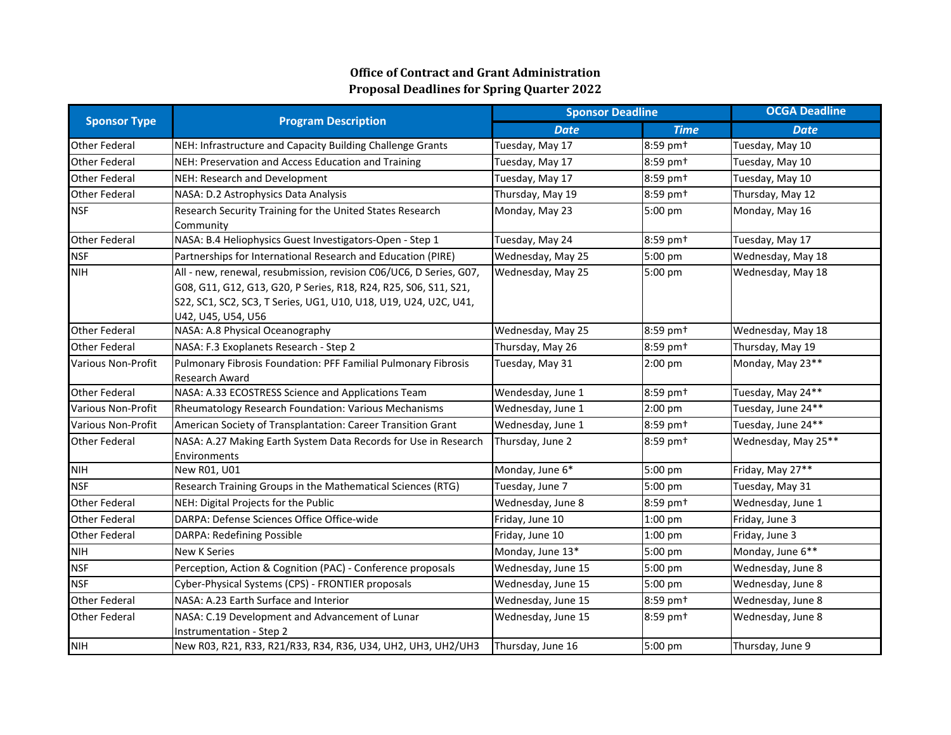| <b>Sponsor Type</b>       | <b>Program Description</b>                                                                                                                                                                                                       | <b>Sponsor Deadline</b> |                      | <b>OCGA Deadline</b> |
|---------------------------|----------------------------------------------------------------------------------------------------------------------------------------------------------------------------------------------------------------------------------|-------------------------|----------------------|----------------------|
|                           |                                                                                                                                                                                                                                  | <b>Date</b>             | <b>Time</b>          | <b>Date</b>          |
| <b>Other Federal</b>      | NEH: Infrastructure and Capacity Building Challenge Grants                                                                                                                                                                       | Tuesday, May 17         | 8:59 pm <sup>+</sup> | Tuesday, May 10      |
| <b>Other Federal</b>      | NEH: Preservation and Access Education and Training                                                                                                                                                                              | Tuesday, May 17         | 8:59 pm <sup>+</sup> | Tuesday, May 10      |
| <b>Other Federal</b>      | NEH: Research and Development                                                                                                                                                                                                    | Tuesday, May 17         | 8:59 pm <sup>+</sup> | Tuesday, May 10      |
| <b>Other Federal</b>      | NASA: D.2 Astrophysics Data Analysis                                                                                                                                                                                             | Thursday, May 19        | 8:59 pm <sup>+</sup> | Thursday, May 12     |
| <b>NSF</b>                | Research Security Training for the United States Research<br>Community                                                                                                                                                           | Monday, May 23          | 5:00 pm              | Monday, May 16       |
| <b>Other Federal</b>      | NASA: B.4 Heliophysics Guest Investigators-Open - Step 1                                                                                                                                                                         | Tuesday, May 24         | 8:59 pm <sup>+</sup> | Tuesday, May 17      |
| <b>NSF</b>                | Partnerships for International Research and Education (PIRE)                                                                                                                                                                     | Wednesday, May 25       | 5:00 pm              | Wednesday, May 18    |
| <b>NIH</b>                | All - new, renewal, resubmission, revision C06/UC6, D Series, G07,<br>G08, G11, G12, G13, G20, P Series, R18, R24, R25, S06, S11, S21,<br>S22, SC1, SC2, SC3, T Series, UG1, U10, U18, U19, U24, U2C, U41,<br>U42, U45, U54, U56 | Wednesday, May 25       | 5:00 pm              | Wednesday, May 18    |
| <b>Other Federal</b>      | NASA: A.8 Physical Oceanography                                                                                                                                                                                                  | Wednesday, May 25       | 8:59 pm <sup>+</sup> | Wednesday, May 18    |
| <b>Other Federal</b>      | NASA: F.3 Exoplanets Research - Step 2                                                                                                                                                                                           | Thursday, May 26        | 8:59 pm <sup>+</sup> | Thursday, May 19     |
| <b>Various Non-Profit</b> | Pulmonary Fibrosis Foundation: PFF Familial Pulmonary Fibrosis<br>Research Award                                                                                                                                                 | Tuesday, May 31         | $2:00$ pm            | Monday, May 23**     |
| <b>Other Federal</b>      | NASA: A.33 ECOSTRESS Science and Applications Team                                                                                                                                                                               | Wendesday, June 1       | 8:59 pm <sup>+</sup> | Tuesday, May 24**    |
| <b>Various Non-Profit</b> | Rheumatology Research Foundation: Various Mechanisms                                                                                                                                                                             | Wednesday, June 1       | 2:00 pm              | Tuesday, June 24**   |
| <b>Various Non-Profit</b> | American Society of Transplantation: Career Transition Grant                                                                                                                                                                     | Wednesday, June 1       | 8:59 pm <sup>+</sup> | Tuesday, June 24**   |
| <b>Other Federal</b>      | NASA: A.27 Making Earth System Data Records for Use in Research<br>Environments                                                                                                                                                  | Thursday, June 2        | 8:59 pm <sup>+</sup> | Wednesday, May 25**  |
| <b>NIH</b>                | New R01, U01                                                                                                                                                                                                                     | Monday, June 6*         | 5:00 pm              | Friday, May 27**     |
| <b>NSF</b>                | Research Training Groups in the Mathematical Sciences (RTG)                                                                                                                                                                      | Tuesday, June 7         | 5:00 pm              | Tuesday, May 31      |
| <b>Other Federal</b>      | NEH: Digital Projects for the Public                                                                                                                                                                                             | Wednesday, June 8       | 8:59 pm <sup>+</sup> | Wednesday, June 1    |
| <b>Other Federal</b>      | DARPA: Defense Sciences Office Office-wide                                                                                                                                                                                       | Friday, June 10         | 1:00 pm              | Friday, June 3       |
| <b>Other Federal</b>      | DARPA: Redefining Possible                                                                                                                                                                                                       | Friday, June 10         | 1:00 pm              | Friday, June 3       |
| <b>NIH</b>                | <b>New K Series</b>                                                                                                                                                                                                              | Monday, June 13*        | 5:00 pm              | Monday, June 6**     |
| <b>NSF</b>                | Perception, Action & Cognition (PAC) - Conference proposals                                                                                                                                                                      | Wednesday, June 15      | 5:00 pm              | Wednesday, June 8    |
| <b>NSF</b>                | Cyber-Physical Systems (CPS) - FRONTIER proposals                                                                                                                                                                                | Wednesday, June 15      | 5:00 pm              | Wednesday, June 8    |
| <b>Other Federal</b>      | NASA: A.23 Earth Surface and Interior                                                                                                                                                                                            | Wednesday, June 15      | 8:59 pm <sup>+</sup> | Wednesday, June 8    |
| <b>Other Federal</b>      | NASA: C.19 Development and Advancement of Lunar<br>Instrumentation - Step 2                                                                                                                                                      | Wednesday, June 15      | 8:59 pm <sup>+</sup> | Wednesday, June 8    |
| <b>NIH</b>                | New R03, R21, R33, R21/R33, R34, R36, U34, UH2, UH3, UH2/UH3                                                                                                                                                                     | Thursday, June 16       | 5:00 pm              | Thursday, June 9     |